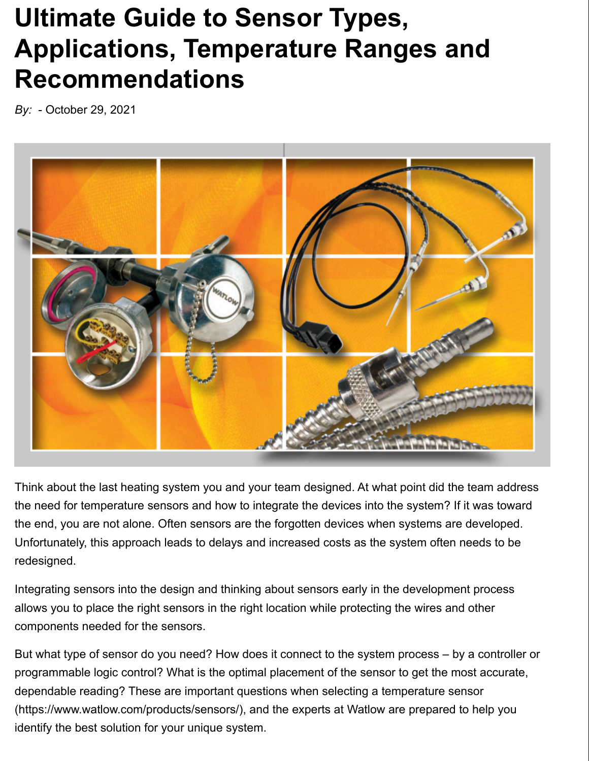# **Ultimate Guide to Sensor Types, Applications, Temperature Ranges and Recommendations**

*By:* - October 29, 2021



Think about the last heating system you and your team designed. At what point did the team address the need for temperature sensors and how to integrate the devices into the system? If it was toward the end, you are not alone. Often sensors are the forgotten devices when systems are developed. Unfortunately, this approach leads to delays and increased costs as the system often needs to be redesigned.

Integrating sensors into the design and thinking about sensors early in the development process allows you to place the right sensors in the right location while protecting the wires and other components needed for the sensors.

But what type of sensor do you need? How does it connect to the system process – by a controller or programmable logic control? What is the optimal placement of the sensor to get the most accurate, dependable reading? These are important questions when selecting a temperature sensor (https://www.watlow.com/products/sensors/), and the experts at Watlow are prepared to help you identify the best solution for your unique system.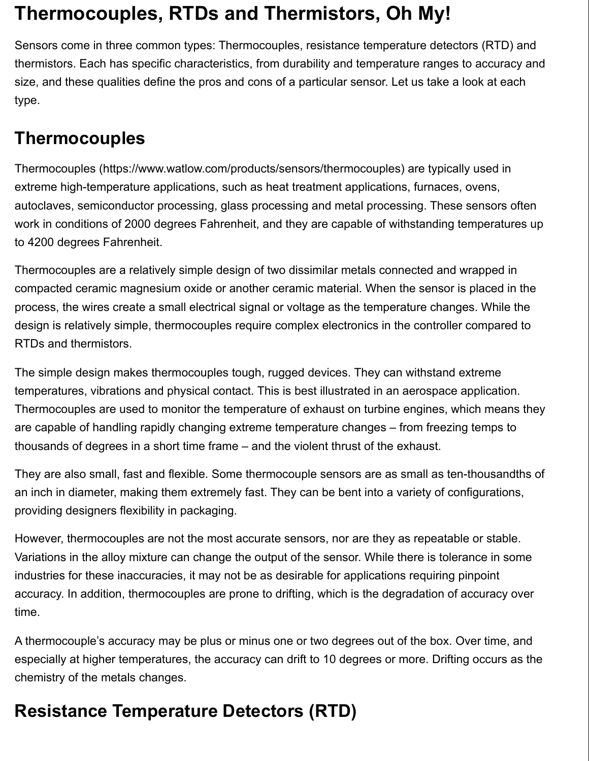# **Thermocouples, RTDs and Thermistors, Oh My!**

Sensors come in three common types: Thermocouples, resistance temperature detectors (RTD) and thermistors. Each has specific characteristics, from durability and temperature ranges to accuracy and size, and these qualities define the pros and cons of a particular sensor. Let us take a look at each type.

#### **Thermocouples**

Thermocouples (https://www.watlow.com/products/sensors/thermocouples) are typically used in extreme high-temperature applications, such as heat treatment applications, furnaces, ovens, autoclaves, semiconductor processing, glass processing and metal processing. These sensors often work in conditions of 2000 degrees Fahrenheit, and they are capable of withstanding temperatures up to 4200 degrees Fahrenheit.

Thermocouples are a relatively simple design of two dissimilar metals connected and wrapped in compacted ceramic magnesium oxide or another ceramic material. When the sensor is placed in the process, the wires create a small electrical signal or voltage as the temperature changes. While the design is relatively simple, thermocouples require complex electronics in the controller compared to RTDs and thermistors.

The simple design makes thermocouples tough, rugged devices. They can withstand extreme temperatures, vibrations and physical contact. This is best illustrated in an aerospace application. Thermocouples are used to monitor the temperature of exhaust on turbine engines, which means they are capable of handling rapidly changing extreme temperature changes – from freezing temps to thousands of degrees in a short time frame – and the violent thrust of the exhaust.

They are also small, fast and flexible. Some thermocouple sensors are as small as ten-thousandths of an inch in diameter, making them extremely fast. They can be bent into a variety of configurations, providing designers flexibility in packaging.

However, thermocouples are not the most accurate sensors, nor are they as repeatable or stable. Variations in the alloy mixture can change the output of the sensor. While there is tolerance in some industries for these inaccuracies, it may not be as desirable for applications requiring pinpoint accuracy. In addition, thermocouples are prone to drifting, which is the degradation of accuracy over time.

A thermocouple's accuracy may be plus or minus one or two degrees out of the box. Over time, and especially at higher temperatures, the accuracy can drift to 10 degrees or more. Drifting occurs as the chemistry of the metals changes.

### **Resistance Temperature Detectors (RTD)**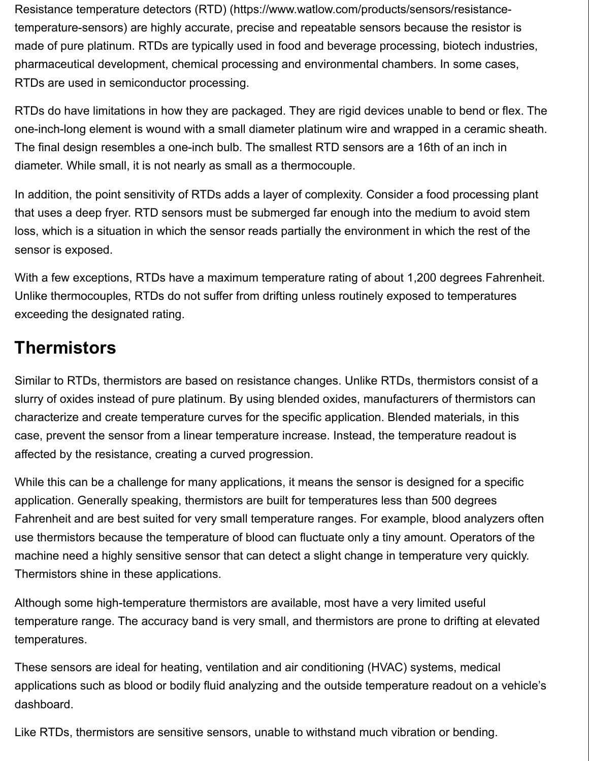Resistance temperature detectors (RTD) (https://www.watlow.com/products/sensors/resistancetemperature-sensors) are highly accurate, precise and repeatable sensors because the resistor is made of pure platinum. RTDs are typically used in food and beverage processing, biotech industries, pharmaceutical development, chemical processing and environmental chambers. In some cases, RTDs are used in semiconductor processing.

RTDs do have limitations in how they are packaged. They are rigid devices unable to bend or flex. The one-inch-long element is wound with a small diameter platinum wire and wrapped in a ceramic sheath. The final design resembles a one-inch bulb. The smallest RTD sensors are a 16th of an inch in diameter. While small, it is not nearly as small as a thermocouple.

In addition, the point sensitivity of RTDs adds a layer of complexity. Consider a food processing plant that uses a deep fryer. RTD sensors must be submerged far enough into the medium to avoid stem loss, which is a situation in which the sensor reads partially the environment in which the rest of the sensor is exposed.

With a few exceptions, RTDs have a maximum temperature rating of about 1,200 degrees Fahrenheit. Unlike thermocouples, RTDs do not suffer from drifting unless routinely exposed to temperatures exceeding the designated rating.

#### **Thermistors**

Similar to RTDs, thermistors are based on resistance changes. Unlike RTDs, thermistors consist of a slurry of oxides instead of pure platinum. By using blended oxides, manufacturers of thermistors can characterize and create temperature curves for the specific application. Blended materials, in this case, prevent the sensor from a linear temperature increase. Instead, the temperature readout is affected by the resistance, creating a curved progression.

While this can be a challenge for many applications, it means the sensor is designed for a specific application. Generally speaking, thermistors are built for temperatures less than 500 degrees Fahrenheit and are best suited for very small temperature ranges. For example, blood analyzers often use thermistors because the temperature of blood can fluctuate only a tiny amount. Operators of the machine need a highly sensitive sensor that can detect a slight change in temperature very quickly. Thermistors shine in these applications.

Although some high-temperature thermistors are available, most have a very limited useful temperature range. The accuracy band is very small, and thermistors are prone to drifting at elevated temperatures.

These sensors are ideal for heating, ventilation and air conditioning (HVAC) systems, medical applications such as blood or bodily fluid analyzing and the outside temperature readout on a vehicle's dashboard.

Like RTDs, thermistors are sensitive sensors, unable to withstand much vibration or bending.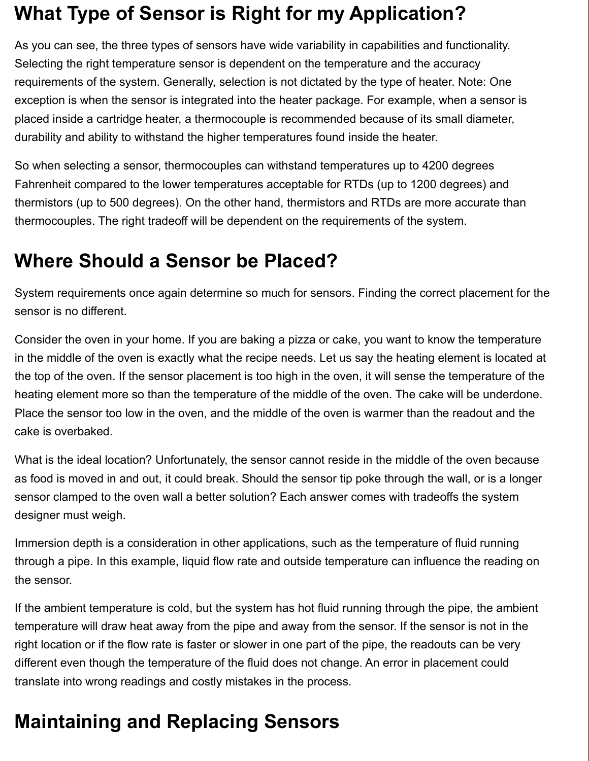# **What Type of Sensor is Right for my Application?**

As you can see, the three types of sensors have wide variability in capabilities and functionality. Selecting the right temperature sensor is dependent on the temperature and the accuracy requirements of the system. Generally, selection is not dictated by the type of heater. Note: One exception is when the sensor is integrated into the heater package. For example, when a sensor is placed inside a cartridge heater, a thermocouple is recommended because of its small diameter, durability and ability to withstand the higher temperatures found inside the heater.

So when selecting a sensor, thermocouples can withstand temperatures up to 4200 degrees Fahrenheit compared to the lower temperatures acceptable for RTDs (up to 1200 degrees) and thermistors (up to 500 degrees). On the other hand, thermistors and RTDs are more accurate than thermocouples. The right tradeoff will be dependent on the requirements of the system.

#### **Where Should a Sensor be Placed?**

System requirements once again determine so much for sensors. Finding the correct placement for the sensor is no different.

Consider the oven in your home. If you are baking a pizza or cake, you want to know the temperature in the middle of the oven is exactly what the recipe needs. Let us say the heating element is located at the top of the oven. If the sensor placement is too high in the oven, it will sense the temperature of the heating element more so than the temperature of the middle of the oven. The cake will be underdone. Place the sensor too low in the oven, and the middle of the oven is warmer than the readout and the cake is overbaked.

What is the ideal location? Unfortunately, the sensor cannot reside in the middle of the oven because as food is moved in and out, it could break. Should the sensor tip poke through the wall, or is a longer sensor clamped to the oven wall a better solution? Each answer comes with tradeoffs the system designer must weigh.

Immersion depth is a consideration in other applications, such as the temperature of fluid running through a pipe. In this example, liquid flow rate and outside temperature can influence the reading on the sensor.

If the ambient temperature is cold, but the system has hot fluid running through the pipe, the ambient temperature will draw heat away from the pipe and away from the sensor. If the sensor is not in the right location or if the flow rate is faster or slower in one part of the pipe, the readouts can be very different even though the temperature of the fluid does not change. An error in placement could translate into wrong readings and costly mistakes in the process.

# **Maintaining and Replacing Sensors**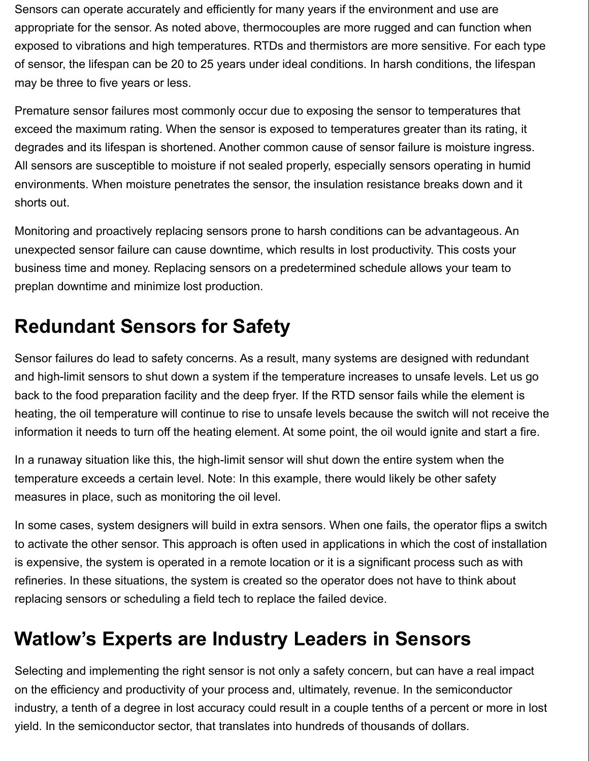Sensors can operate accurately and efficiently for many years if the environment and use are appropriate for the sensor. As noted above, thermocouples are more rugged and can function when exposed to vibrations and high temperatures. RTDs and thermistors are more sensitive. For each type of sensor, the lifespan can be 20 to 25 years under ideal conditions. In harsh conditions, the lifespan may be three to five years or less.

Premature sensor failures most commonly occur due to exposing the sensor to temperatures that exceed the maximum rating. When the sensor is exposed to temperatures greater than its rating, it degrades and its lifespan is shortened. Another common cause of sensor failure is moisture ingress. All sensors are susceptible to moisture if not sealed properly, especially sensors operating in humid environments. When moisture penetrates the sensor, the insulation resistance breaks down and it shorts out.

Monitoring and proactively replacing sensors prone to harsh conditions can be advantageous. An unexpected sensor failure can cause downtime, which results in lost productivity. This costs your business time and money. Replacing sensors on a predetermined schedule allows your team to preplan downtime and minimize lost production.

# **Redundant Sensors for Safety**

Sensor failures do lead to safety concerns. As a result, many systems are designed with redundant and high-limit sensors to shut down a system if the temperature increases to unsafe levels. Let us go back to the food preparation facility and the deep fryer. If the RTD sensor fails while the element is heating, the oil temperature will continue to rise to unsafe levels because the switch will not receive the information it needs to turn off the heating element. At some point, the oil would ignite and start a fire.

In a runaway situation like this, the high-limit sensor will shut down the entire system when the temperature exceeds a certain level. Note: In this example, there would likely be other safety measures in place, such as monitoring the oil level.

In some cases, system designers will build in extra sensors. When one fails, the operator flips a switch to activate the other sensor. This approach is often used in applications in which the cost of installation is expensive, the system is operated in a remote location or it is a significant process such as with refineries. In these situations, the system is created so the operator does not have to think about replacing sensors or scheduling a field tech to replace the failed device.

#### **Watlow's Experts are Industry Leaders in Sensors**

Selecting and implementing the right sensor is not only a safety concern, but can have a real impact on the efficiency and productivity of your process and, ultimately, revenue. In the semiconductor industry, a tenth of a degree in lost accuracy could result in a couple tenths of a percent or more in lost yield. In the semiconductor sector, that translates into hundreds of thousands of dollars.